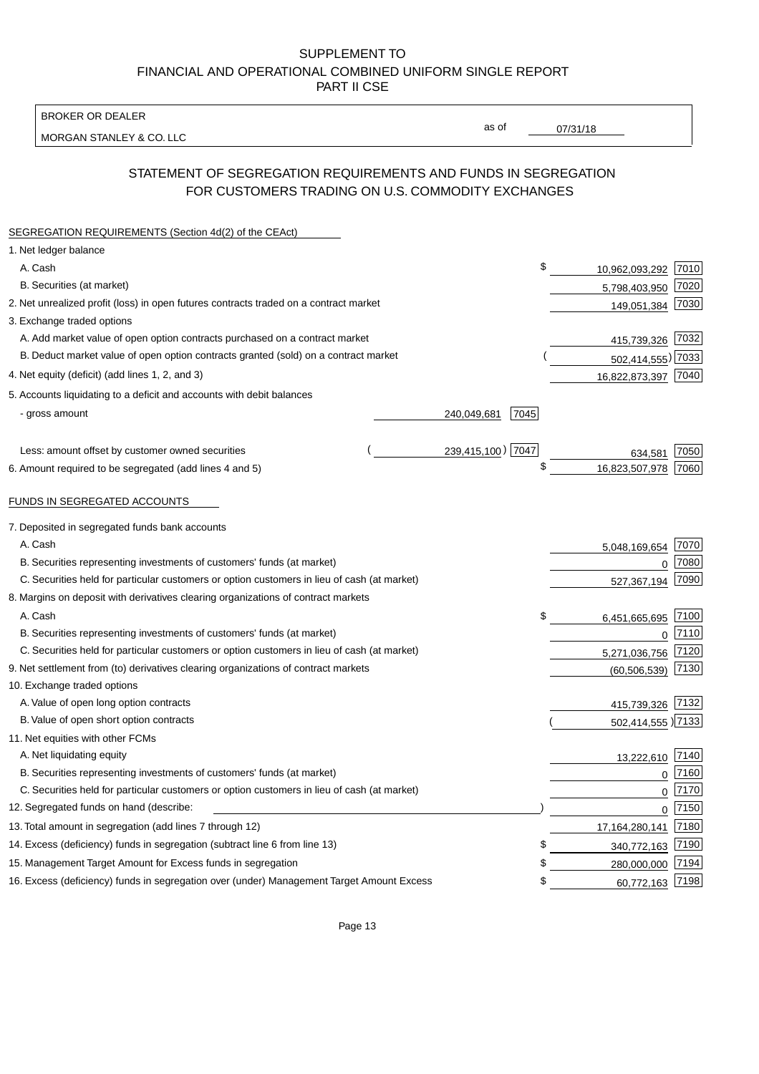BROKER OR DEALER

MORGAN STANLEY & CO. LLC

07/31/18

as of

# STATEMENT OF SEGREGATION REQUIREMENTS AND FUNDS IN SEGREGATION FOR CUSTOMERS TRADING ON U.S. COMMODITY EXCHANGES

| SEGREGATION REQUIREMENTS (Section 4d(2) of the CEAct)                                       |                     |                       |      |
|---------------------------------------------------------------------------------------------|---------------------|-----------------------|------|
| 1. Net ledger balance                                                                       |                     |                       |      |
| A. Cash                                                                                     |                     | \$<br>10,962,093,292  | 7010 |
| B. Securities (at market)                                                                   |                     | 5,798,403,950         | 7020 |
| 2. Net unrealized profit (loss) in open futures contracts traded on a contract market       |                     | 149,051,384           | 7030 |
| 3. Exchange traded options                                                                  |                     |                       |      |
| A. Add market value of open option contracts purchased on a contract market                 |                     | 415,739,326 7032      |      |
| B. Deduct market value of open option contracts granted (sold) on a contract market         |                     | 502,414,555) 7033     |      |
| 4. Net equity (deficit) (add lines 1, 2, and 3)                                             |                     | 16,822,873,397        | 7040 |
| 5. Accounts liquidating to a deficit and accounts with debit balances                       |                     |                       |      |
| - gross amount                                                                              | 7045<br>240,049,681 |                       |      |
|                                                                                             |                     |                       |      |
| Less: amount offset by customer owned securities                                            | 239,415,100) 7047   | 634,581               | 7050 |
| 6. Amount required to be segregated (add lines 4 and 5)                                     |                     | \$<br>16,823,507,978  | 7060 |
| FUNDS IN SEGREGATED ACCOUNTS                                                                |                     |                       |      |
| 7. Deposited in segregated funds bank accounts                                              |                     |                       |      |
| A. Cash                                                                                     |                     | 5,048,169,654         | 7070 |
| B. Securities representing investments of customers' funds (at market)                      |                     | 0                     | 7080 |
| C. Securities held for particular customers or option customers in lieu of cash (at market) |                     | 527,367,194           | 7090 |
| 8. Margins on deposit with derivatives clearing organizations of contract markets           |                     |                       |      |
| A. Cash                                                                                     |                     | \$<br>6,451,665,695   | 7100 |
| B. Securities representing investments of customers' funds (at market)                      |                     | $\mathbf 0$           | 7110 |
| C. Securities held for particular customers or option customers in lieu of cash (at market) |                     | 5,271,036,756         | 7120 |
| 9. Net settlement from (to) derivatives clearing organizations of contract markets          |                     | (60, 506, 539)        | 7130 |
| 10. Exchange traded options                                                                 |                     |                       |      |
| A. Value of open long option contracts                                                      |                     | 415,739,326           | 7132 |
| B. Value of open short option contracts                                                     |                     | 502,414,555 )7133     |      |
| 11. Net equities with other FCMs                                                            |                     |                       |      |
| A. Net liquidating equity                                                                   |                     | 13,222,610            | 7140 |
| B. Securities representing investments of customers' funds (at market)                      |                     | 0                     | 7160 |
| C. Securities held for particular customers or option customers in lieu of cash (at market) |                     | 0                     | 7170 |
| 12. Segregated funds on hand (describe:                                                     |                     | 0                     | 7150 |
| 13. Total amount in segregation (add lines 7 through 12)                                    |                     | 17, 164, 280, 141     | 7180 |
| 14. Excess (deficiency) funds in segregation (subtract line 6 from line 13)                 |                     | S<br>340,772,163      | 7190 |
| 15. Management Target Amount for Excess funds in segregation                                |                     | \$<br>280,000,000     | 7194 |
| 16. Excess (deficiency) funds in segregation over (under) Management Target Amount Excess   |                     | 60,772,163 7198<br>\$ |      |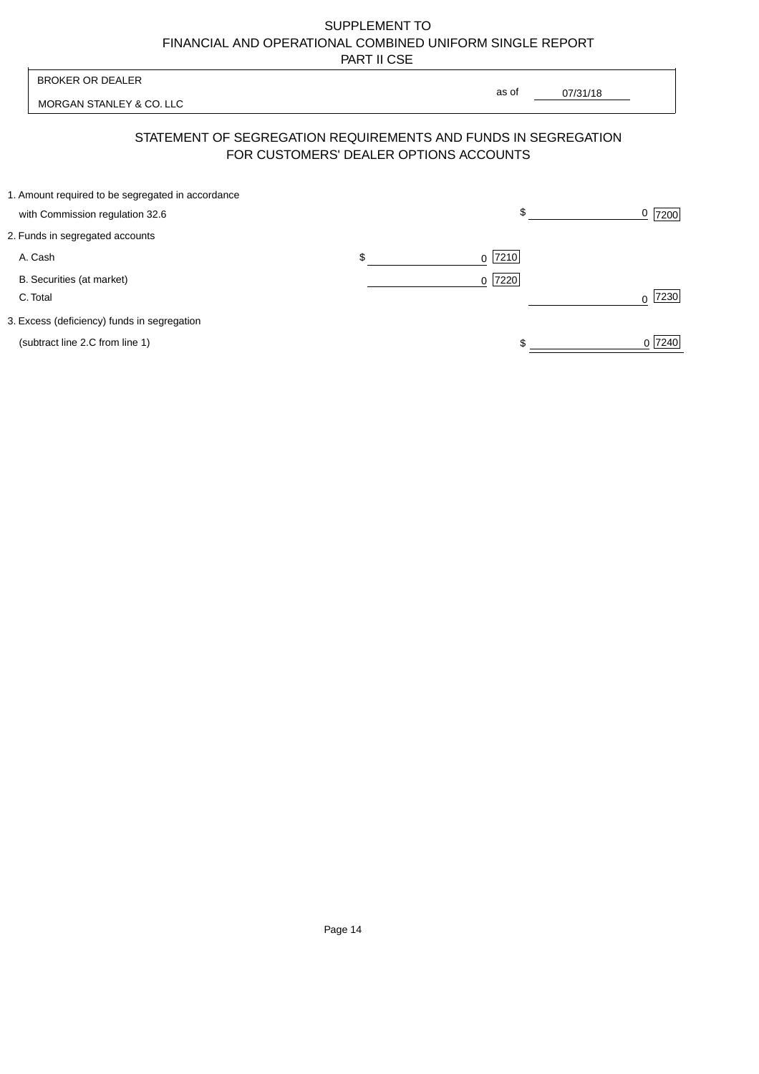MORGAN STANLEY & CO. LLC

07/31/18  $\overline{\phantom{a}}$ 

as of

## STATEMENT OF SEGREGATION REQUIREMENTS AND FUNDS IN SEGREGATION FOR CUSTOMERS' DEALER OPTIONS ACCOUNTS

| 1. Amount required to be segregated in accordance |     |           |                  |
|---------------------------------------------------|-----|-----------|------------------|
| with Commission regulation 32.6                   |     | \$        | 7200             |
| 2. Funds in segregated accounts                   |     |           |                  |
| A. Cash                                           | \$. | $0$  7210 |                  |
| B. Securities (at market)                         |     | $0$  7220 |                  |
| C. Total                                          |     |           | 7230<br>$\Omega$ |
| 3. Excess (deficiency) funds in segregation       |     |           |                  |
| (subtract line 2.C from line 1)                   |     |           | 0 7240           |
|                                                   |     |           |                  |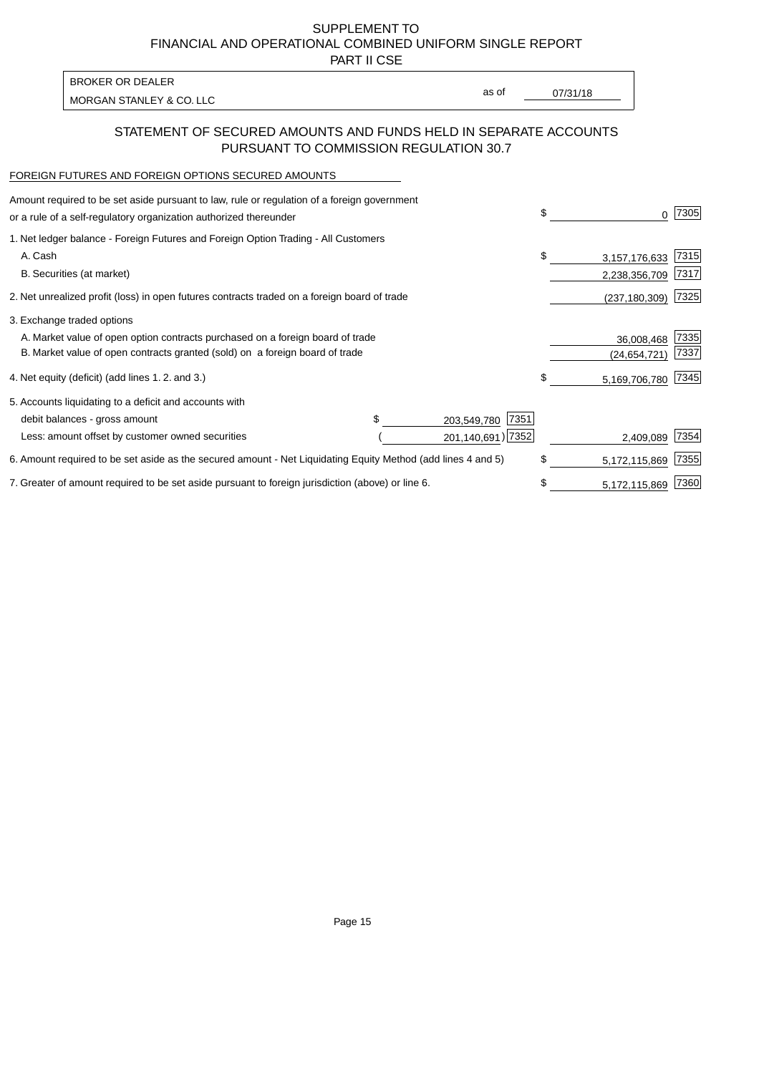PART II CSE

| BROKER OR DEALER         |       |          |
|--------------------------|-------|----------|
| MORGAN STANLEY & CO. LLC | as of | 07/31/18 |

### STATEMENT OF SECURED AMOUNTS AND FUNDS HELD IN SEPARATE ACCOUNTS PURSUANT TO COMMISSION REGULATION 30.7

#### FOREIGN FUTURES AND FOREIGN OPTIONS SECURED AMOUNTS

| Amount required to be set aside pursuant to law, rule or regulation of a foreign government<br>or a rule of a self-regulatory organization authorized thereunder |  |                     | \$   | 0             | 7305 |
|------------------------------------------------------------------------------------------------------------------------------------------------------------------|--|---------------------|------|---------------|------|
| 1. Net ledger balance - Foreign Futures and Foreign Option Trading - All Customers                                                                               |  |                     |      |               |      |
| A. Cash                                                                                                                                                          |  |                     | \$   | 3,157,176,633 | 7315 |
| B. Securities (at market)                                                                                                                                        |  |                     |      | 2,238,356,709 | 7317 |
| 2. Net unrealized profit (loss) in open futures contracts traded on a foreign board of trade                                                                     |  | (237, 180, 309)     | 7325 |               |      |
| 3. Exchange traded options                                                                                                                                       |  |                     |      |               |      |
| A. Market value of open option contracts purchased on a foreign board of trade                                                                                   |  |                     |      | 36,008,468    | 7335 |
| B. Market value of open contracts granted (sold) on a foreign board of trade                                                                                     |  |                     |      | (24,654,721)  | 7337 |
| 4. Net equity (deficit) (add lines 1.2. and 3.)                                                                                                                  |  |                     | \$   | 5,169,706,780 | 7345 |
| 5. Accounts liquidating to a deficit and accounts with                                                                                                           |  |                     |      |               |      |
| debit balances - gross amount                                                                                                                                    |  | 7351<br>203,549,780 |      |               |      |
| Less: amount offset by customer owned securities                                                                                                                 |  | 201,140,691) 7352   |      | 2,409,089     | 7354 |
| 6. Amount required to be set aside as the secured amount - Net Liquidating Equity Method (add lines 4 and 5)                                                     |  |                     |      | 5,172,115,869 | 7355 |
| 7. Greater of amount required to be set aside pursuant to foreign jurisdiction (above) or line 6.                                                                |  |                     | \$   | 5,172,115,869 | 7360 |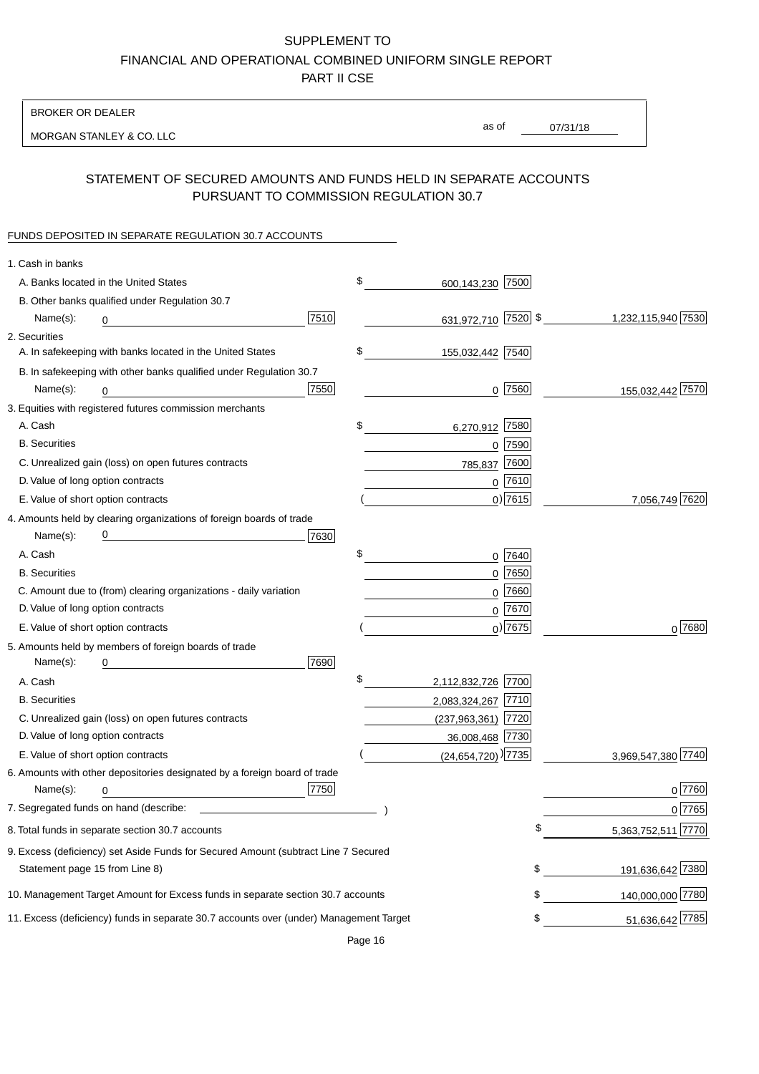BROKER OR DEALER

MORGAN STANLEY & CO. LLC

07/31/18 as of

## STATEMENT OF SECURED AMOUNTS AND FUNDS HELD IN SEPARATE ACCOUNTS PURSUANT TO COMMISSION REGULATION 30.7

#### FUNDS DEPOSITED IN SEPARATE REGULATION 30.7 ACCOUNTS

| 1. Cash in banks                   |                                                                                        |      |                                      |             |                    |
|------------------------------------|----------------------------------------------------------------------------------------|------|--------------------------------------|-------------|--------------------|
|                                    | A. Banks located in the United States                                                  |      | \$<br>600,143,230 7500               |             |                    |
|                                    | B. Other banks qualified under Regulation 30.7                                         |      |                                      |             |                    |
| Name(s):                           | 0                                                                                      | 7510 | 631,972,710 7520 \$                  |             | 1,232,115,940 7530 |
| 2. Securities                      |                                                                                        |      |                                      |             |                    |
|                                    | A. In safekeeping with banks located in the United States                              |      | \$<br>155,032,442 7540               |             |                    |
|                                    | B. In safekeeping with other banks qualified under Regulation 30.7                     |      |                                      |             |                    |
| Name(s):                           | 0                                                                                      | 7550 | 0                                    | 7560        | 155,032,442 7570   |
|                                    | 3. Equities with registered futures commission merchants                               |      |                                      |             |                    |
| A. Cash                            |                                                                                        |      | \$<br>6,270,912 7580                 |             |                    |
| <b>B.</b> Securities               |                                                                                        |      |                                      | $0$ 7590    |                    |
|                                    | C. Unrealized gain (loss) on open futures contracts                                    |      | 785,837                              | 7600        |                    |
| D. Value of long option contracts  |                                                                                        |      |                                      | $0$ 7610    |                    |
| E. Value of short option contracts |                                                                                        |      |                                      | $0)$ 7615   | 7,056,749 7620     |
|                                    | 4. Amounts held by clearing organizations of foreign boards of trade                   |      |                                      |             |                    |
| Name(s):                           |                                                                                        | 7630 |                                      |             |                    |
| A. Cash                            |                                                                                        |      | \$                                   | 0 7640      |                    |
| <b>B.</b> Securities               |                                                                                        |      |                                      | $0$ 7650    |                    |
|                                    | C. Amount due to (from) clearing organizations - daily variation                       |      | 0                                    | 7660        |                    |
| D. Value of long option contracts  |                                                                                        |      |                                      | 0 7670      |                    |
| E. Value of short option contracts |                                                                                        |      |                                      | $_0$ ) 7675 | 0 7680             |
|                                    | 5. Amounts held by members of foreign boards of trade                                  |      |                                      |             |                    |
| Name(s):                           | 0                                                                                      | 7690 |                                      |             |                    |
| A. Cash                            |                                                                                        |      | \$<br>2,112,832,726 7700             |             |                    |
| <b>B.</b> Securities               |                                                                                        |      | 2,083,324,267 7710                   |             |                    |
|                                    | C. Unrealized gain (loss) on open futures contracts                                    |      | (237,963,361) 7720                   |             |                    |
| D. Value of long option contracts  |                                                                                        |      | 36,008,468 7730                      |             |                    |
| E. Value of short option contracts |                                                                                        |      | $(24, 654, 720)$ <sup>)</sup> [7735] |             | 3,969,547,380 7740 |
|                                    | 6. Amounts with other depositories designated by a foreign board of trade              |      |                                      |             |                    |
| Name(s):                           | 0                                                                                      | 7750 |                                      |             | 0 7760             |
|                                    | 7. Segregated funds on hand (describe:                                                 |      |                                      |             | 0 7765             |
|                                    | 8. Total funds in separate section 30.7 accounts                                       |      |                                      |             | 5,363,752,511 7770 |
|                                    | 9. Excess (deficiency) set Aside Funds for Secured Amount (subtract Line 7 Secured     |      |                                      |             |                    |
| Statement page 15 from Line 8)     |                                                                                        |      |                                      | \$          | 191,636,642 7380   |
|                                    | 10. Management Target Amount for Excess funds in separate section 30.7 accounts        |      |                                      | \$          | 140,000,000 7780   |
|                                    | 11. Excess (deficiency) funds in separate 30.7 accounts over (under) Management Target |      |                                      | \$          | 51,636,642 7785    |
|                                    |                                                                                        |      |                                      |             |                    |